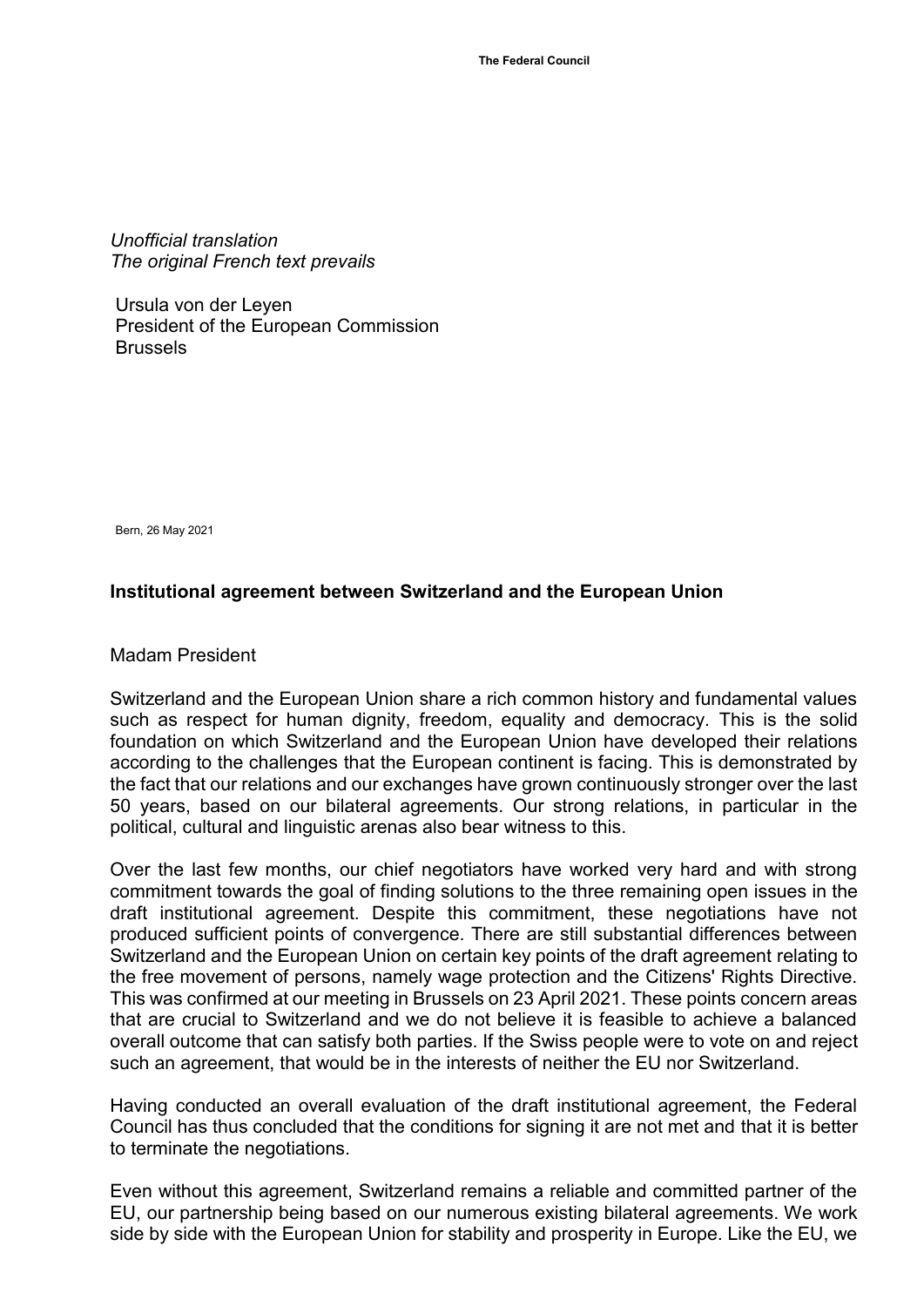*Unofficial translation The original French text prevails*

Ursula von der Leyen President of the European Commission Brussels

Bern, 26 May 2021

## **Institutional agreement between Switzerland and the European Union**

Madam President

Switzerland and the European Union share a rich common history and fundamental values such as respect for human dignity, freedom, equality and democracy. This is the solid foundation on which Switzerland and the European Union have developed their relations according to the challenges that the European continent is facing. This is demonstrated by the fact that our relations and our exchanges have grown continuously stronger over the last 50 years, based on our bilateral agreements. Our strong relations, in particular in the political, cultural and linguistic arenas also bear witness to this.

Over the last few months, our chief negotiators have worked very hard and with strong commitment towards the goal of finding solutions to the three remaining open issues in the draft institutional agreement. Despite this commitment, these negotiations have not produced sufficient points of convergence. There are still substantial differences between Switzerland and the European Union on certain key points of the draft agreement relating to the free movement of persons, namely wage protection and the Citizens' Rights Directive. This was confirmed at our meeting in Brussels on 23 April 2021. These points concern areas that are crucial to Switzerland and we do not believe it is feasible to achieve a balanced overall outcome that can satisfy both parties. If the Swiss people were to vote on and reject such an agreement, that would be in the interests of neither the EU nor Switzerland.

Having conducted an overall evaluation of the draft institutional agreement, the Federal Council has thus concluded that the conditions for signing it are not met and that it is better to terminate the negotiations.

Even without this agreement, Switzerland remains a reliable and committed partner of the EU, our partnership being based on our numerous existing bilateral agreements. We work side by side with the European Union for stability and prosperity in Europe. Like the EU, we